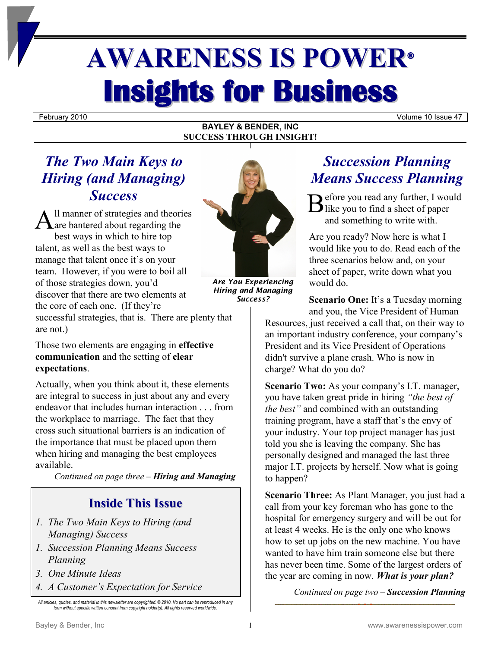# **AWARENESS IS POWER® Insights for Business**

February 2010 Volume 10 Issue 47

#### **BAYLEY & BENDER, INC SUCCESS THROUGH INSIGHT!**

### *The Two Main Keys to Hiring (and Managing) Success*

ll manner of strategies and theories Success<br>
A<sup>ll</sup> manner of strategies and theories<br>
A are bantered about regarding the best ways in which to hire top talent, as well as the best ways to manage that talent once it's on your team. However, if you were to boil all of those strategies down, you'd discover that there are two elements at the core of each one. (If they're successful strategies, that is. There are plenty that are not.)

Those two elements are engaging in **effective communication** and the setting of **clear expectations**.

Actually, when you think about it, these elements are integral to success in just about any and every endeavor that includes human interaction . . . from the workplace to marriage. The fact that they cross such situational barriers is an indication of the importance that must be placed upon them when hiring and managing the best employees available.

*Continued on page three – Hiring and Managing*

#### **Inside This Issue**

- *1. The Two Main Keys to Hiring (and Managing) Success*
- *1. Succession Planning Means Success Planning*
- *3. One Minute Ideas*
- *4. A Customer's Expectation for Service*



*Are You Experiencing Hiring and Managing Success?*

## *Succession Planning Means Success Planning*

efore you read any further, I would  $\mathbf{\mathbf{D}}$  like you to find a sheet of paper and something to write with.

Are you ready? Now here is what I would like you to do. Read each of the three scenarios below and, on your sheet of paper, write down what you would do.

**Scenario One:** It's a Tuesday morning and you, the Vice President of Human

Resources, just received a call that, on their way to an important industry conference, your company's President and its Vice President of Operations didn't survive a plane crash. Who is now in charge? What do you do?

**Scenario Two:** As your company's I.T. manager, you have taken great pride in hiring *"the best of the best"* and combined with an outstanding training program, have a staff that's the envy of your industry. Your top project manager has just told you she is leaving the company. She has personally designed and managed the last three major I.T. projects by herself. Now what is going to happen?

**Scenario Three:** As Plant Manager, you just had a call from your key foreman who has gone to the hospital for emergency surgery and will be out for at least 4 weeks. He is the only one who knows how to set up jobs on the new machine. You have wanted to have him train someone else but there has never been time. Some of the largest orders of the year are coming in now. *What is your plan?*

*Continued on page two – Succession Planning*

*All articles, quotes, and material in this newsletter are copyrighted. © 2010. No part can be reproduced in any form without specific written consent from copyright holder(s). All rights reserved worldwide.*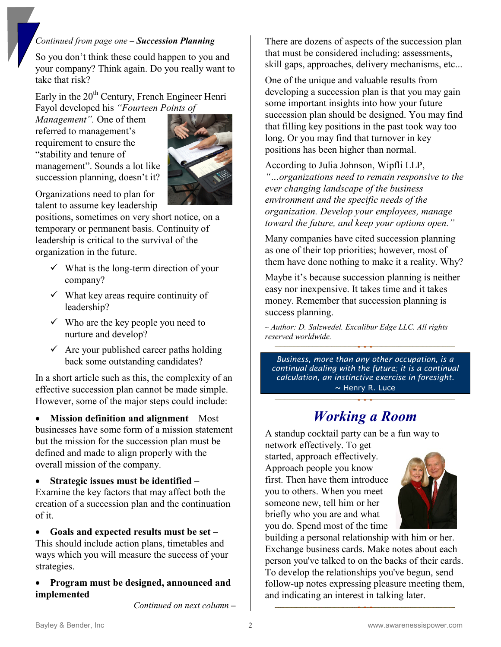#### *Continued from page one – Succession Planning*

So you don't think these could happen to you and your company? Think again. Do you really want to take that risk?

Early in the  $20<sup>th</sup>$  Century, French Engineer Henri Fayol developed his *"Fourteen Points of* 

*Management".* One of them referred to management's requirement to ensure the "stability and tenure of management". Sounds a lot like succession planning, doesn't it?



Organizations need to plan for talent to assume key leadership

positions, sometimes on very short notice, on a temporary or permanent basis. Continuity of leadership is critical to the survival of the organization in the future.

- $\checkmark$  What is the long-term direction of your company?
- $\checkmark$  What key areas require continuity of leadership?
- $\checkmark$  Who are the key people you need to nurture and develop?
- $\checkmark$  Are your published career paths holding back some outstanding candidates?

In a short article such as this, the complexity of an effective succession plan cannot be made simple. However, some of the major steps could include:

• **Mission definition and alignment** – Most businesses have some form of a mission statement but the mission for the succession plan must be defined and made to align properly with the overall mission of the company.

• **Strategic issues must be identified** – Examine the key factors that may affect both the creation of a succession plan and the continuation of it.

• **Goals and expected results must be set** – This should include action plans, timetables and ways which you will measure the success of your strategies.

• **Program must be designed, announced and implemented** –

*Continued on next column –*

There are dozens of aspects of the succession plan that must be considered including: assessments, skill gaps, approaches, delivery mechanisms, etc...

One of the unique and valuable results from developing a succession plan is that you may gain some important insights into how your future succession plan should be designed. You may find that filling key positions in the past took way too long. Or you may find that turnover in key positions has been higher than normal.

According to Julia Johnson, Wipfli LLP,

*"…organizations need to remain responsive to the ever changing landscape of the business environment and the specific needs of the organization. Develop your employees, manage toward the future, and keep your options open."*

Many companies have cited succession planning as one of their top priorities; however, most of them have done nothing to make it a reality. Why?

Maybe it's because succession planning is neither easy nor inexpensive. It takes time and it takes money. Remember that succession planning is success planning.

*~ Author: D. Salzwedel. Excalibur Edge LLC. All rights reserved worldwide.*

*Business, more than any other occupation, is a continual dealing with the future; it is a continual calculation, an instinctive exercise in foresight.*  $\sim$  Henry R. Luce

## *Working a Room*

A standup cocktail party can be a fun way to

network effectively. To get started, approach effectively. Approach people you know first. Then have them introduce you to others. When you meet someone new, tell him or her briefly who you are and what you do. Spend most of the time



building a personal relationship with him or her. Exchange business cards. Make notes about each person you've talked to on the backs of their cards. To develop the relationships you've begun, send follow-up notes expressing pleasure meeting them, and indicating an interest in talking later.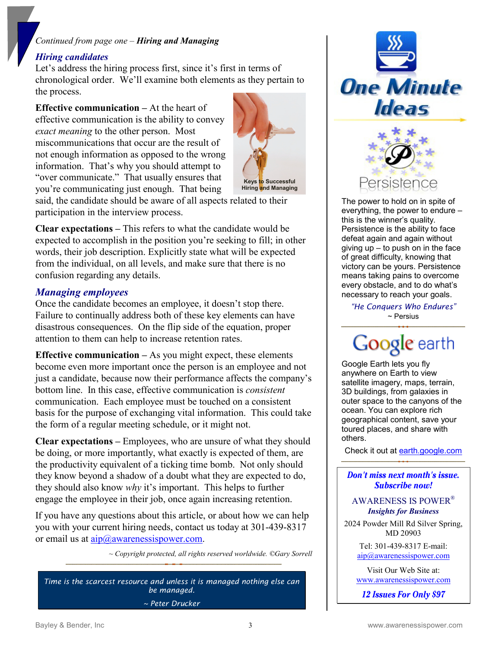#### *Continued from page one – Hiring and Managing*

#### *Hiring candidates*

Let's address the hiring process first, since it's first in terms of chronological order. We'll examine both elements as they pertain to the process.

**Effective communication –** At the heart of effective communication is the ability to convey *exact meaning* to the other person. Most miscommunications that occur are the result of not enough information as opposed to the wrong information. That's why you should attempt to "over communicate." That usually ensures that you're communicating just enough. That being



said, the candidate should be aware of all aspects related to their participation in the interview process.

**Clear expectations –** This refers to what the candidate would be expected to accomplish in the position you're seeking to fill; in other words, their job description. Explicitly state what will be expected from the individual, on all levels, and make sure that there is no confusion regarding any details.

#### *Managing employees*

Once the candidate becomes an employee, it doesn't stop there. Failure to continually address both of these key elements can have disastrous consequences. On the flip side of the equation, proper attention to them can help to increase retention rates.

**Effective communication –** As you might expect, these elements become even more important once the person is an employee and not just a candidate, because now their performance affects the company's bottom line. In this case, effective communication is *consistent* communication. Each employee must be touched on a consistent basis for the purpose of exchanging vital information. This could take the form of a regular meeting schedule, or it might not.

**Clear expectations –** Employees, who are unsure of what they should be doing, or more importantly, what exactly is expected of them, are the productivity equivalent of a ticking time bomb. Not only should they know beyond a shadow of a doubt what they are expected to do, they should also know *why* it's important. This helps to further engage the employee in their job, once again increasing retention.

If you have any questions about this article, or about how we can help you with your current hiring needs, contact us today at 301-439-8317 or email us at  $aip@awarenessispower.com$ .

*~ Copyright protected, all rights reserved worldwide. ©Gary Sorrell* 

*Time is the scarcest resource and unless it is managed nothing else can be managed. ~ Peter Drucker*



The power to hold on in spite of everything, the power to endure – this is the winner's quality. Persistence is the ability to face defeat again and again without giving  $up - to push on in the face$ of great difficulty, knowing that victory can be yours. Persistence means taking pains to overcome every obstacle, and to do what's necessary to reach your goals.

*"He Conquers Who Endures"* ~ Persius

## Google earth

Google Earth lets you fly anywhere on Earth to view satellite imagery, maps, terrain, 3D buildings, from galaxies in outer space to the canyons of the ocean. You can explore rich geographical content, save your toured places, and share with others.

Check it out at [earth.google.com](http://www.earth.google.com/)

#### Don't miss next month's issue. Subscribe now!

AWARENESS IS POWER® *Insights for Business*

2024 Powder Mill Rd Silver Spring, MD 20903

> Tel: 301-439-8317 E-mail: [aip@awarenessispower.com](mailto:aip@awarenessispower.com)

Visit Our Web Site at: [www.awarenessispower.com](http://www.awarenessispower.com/)

12 Issues For Only \$97